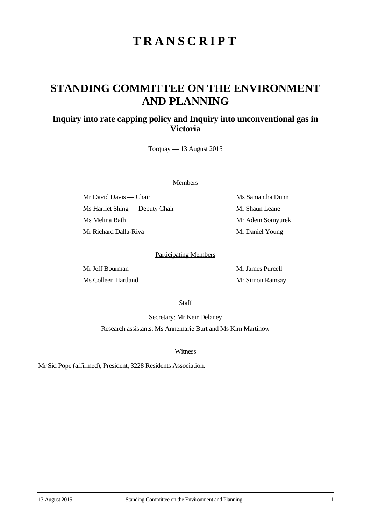# **TRANSCRIPT**

## **STANDING COMMITTEE ON THE ENVIRONMENT AND PLANNING**

### **Inquiry into rate capping policy and Inquiry into unconventional gas in Victoria**

Torquay — 13 August 2015

#### Members

Mr David Davis — Chair Ms Samantha Dunn Ms Harriet Shing — Deputy Chair Mr Shaun Leane Ms Melina Bath Mr Adem Somyurek Mr Richard Dalla-Riva Mr Daniel Young

#### Participating Members

Mr Jeff Bourman Mr James Purcell Ms Colleen Hartland Mr Simon Ramsay

**Staff** 

Secretary: Mr Keir Delaney Research assistants: Ms Annemarie Burt and Ms Kim Martinow

Witness

Mr Sid Pope (affirmed), President, 3228 Residents Association.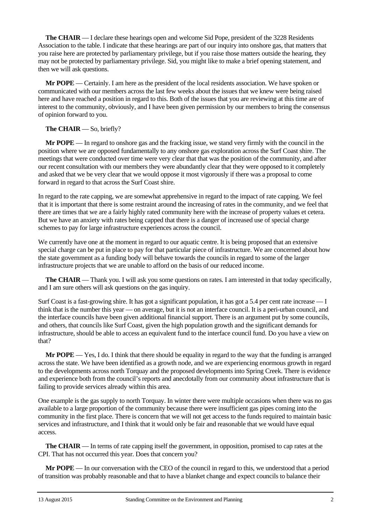**The CHAIR** — I declare these hearings open and welcome Sid Pope, president of the 3228 Residents Association to the table. I indicate that these hearings are part of our inquiry into onshore gas, that matters that you raise here are protected by parliamentary privilege, but if you raise those matters outside the hearing, they may not be protected by parliamentary privilege. Sid, you might like to make a brief opening statement, and then we will ask questions.

**Mr POPE** — Certainly. I am here as the president of the local residents association. We have spoken or communicated with our members across the last few weeks about the issues that we knew were being raised here and have reached a position in regard to this. Both of the issues that you are reviewing at this time are of interest to the community, obviously, and I have been given permission by our members to bring the consensus of opinion forward to you.

#### **The CHAIR** — So, briefly?

**Mr POPE** — In regard to onshore gas and the fracking issue, we stand very firmly with the council in the position where we are opposed fundamentally to any onshore gas exploration across the Surf Coast shire. The meetings that were conducted over time were very clear that that was the position of the community, and after our recent consultation with our members they were abundantly clear that they were opposed to it completely and asked that we be very clear that we would oppose it most vigorously if there was a proposal to come forward in regard to that across the Surf Coast shire.

In regard to the rate capping, we are somewhat apprehensive in regard to the impact of rate capping. We feel that it is important that there is some restraint around the increasing of rates in the community, and we feel that there are times that we are a fairly highly rated community here with the increase of property values et cetera. But we have an anxiety with rates being capped that there is a danger of increased use of special charge schemes to pay for large infrastructure experiences across the council.

We currently have one at the moment in regard to our aquatic centre. It is being proposed that an extensive special charge can be put in place to pay for that particular piece of infrastructure. We are concerned about how the state government as a funding body will behave towards the councils in regard to some of the larger infrastructure projects that we are unable to afford on the basis of our reduced income.

**The CHAIR** — Thank you. I will ask you some questions on rates. I am interested in that today specifically, and I am sure others will ask questions on the gas inquiry.

Surf Coast is a fast-growing shire. It has got a significant population, it has got a 5.4 per cent rate increase — I think that is the number this year — on average, but it is not an interface council. It is a peri-urban council, and the interface councils have been given additional financial support. There is an argument put by some councils, and others, that councils like Surf Coast, given the high population growth and the significant demands for infrastructure, should be able to access an equivalent fund to the interface council fund. Do you have a view on that?

**Mr POPE** — Yes, I do. I think that there should be equality in regard to the way that the funding is arranged across the state. We have been identified as a growth node, and we are experiencing enormous growth in regard to the developments across north Torquay and the proposed developments into Spring Creek. There is evidence and experience both from the council's reports and anecdotally from our community about infrastructure that is failing to provide services already within this area.

One example is the gas supply to north Torquay. In winter there were multiple occasions when there was no gas available to a large proportion of the community because there were insufficient gas pipes coming into the community in the first place. There is concern that we will not get access to the funds required to maintain basic services and infrastructure, and I think that it would only be fair and reasonable that we would have equal access.

**The CHAIR** — In terms of rate capping itself the government, in opposition, promised to cap rates at the CPI. That has not occurred this year. Does that concern you?

**Mr POPE** — In our conversation with the CEO of the council in regard to this, we understood that a period of transition was probably reasonable and that to have a blanket change and expect councils to balance their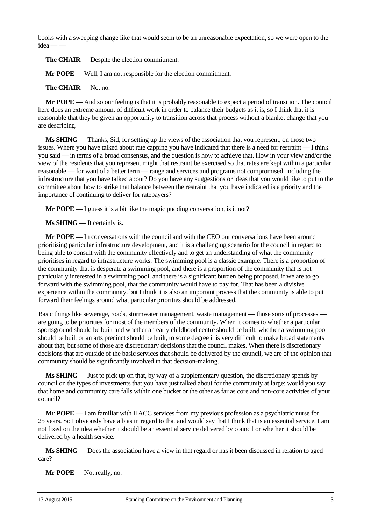books with a sweeping change like that would seem to be an unreasonable expectation, so we were open to the  $idea — -$ 

**The CHAIR** — Despite the election commitment.

**Mr POPE** — Well, I am not responsible for the election commitment.

**The CHAIR** — No, no.

**Mr POPE** — And so our feeling is that it is probably reasonable to expect a period of transition. The council here does an extreme amount of difficult work in order to balance their budgets as it is, so I think that it is reasonable that they be given an opportunity to transition across that process without a blanket change that you are describing.

**Ms SHING** — Thanks, Sid, for setting up the views of the association that you represent, on those two issues. Where you have talked about rate capping you have indicated that there is a need for restraint — I think you said — in terms of a broad consensus, and the question is how to achieve that. How in your view and/or the view of the residents that you represent might that restraint be exercised so that rates are kept within a particular reasonable — for want of a better term — range and services and programs not compromised, including the infrastructure that you have talked about? Do you have any suggestions or ideas that you would like to put to the committee about how to strike that balance between the restraint that you have indicated is a priority and the importance of continuing to deliver for ratepayers?

**Mr POPE** — I guess it is a bit like the magic pudding conversation, is it not?

**Ms SHING** — It certainly is.

**Mr POPE** — In conversations with the council and with the CEO our conversations have been around prioritising particular infrastructure development, and it is a challenging scenario for the council in regard to being able to consult with the community effectively and to get an understanding of what the community prioritises in regard to infrastructure works. The swimming pool is a classic example. There is a proportion of the community that is desperate a swimming pool, and there is a proportion of the community that is not particularly interested in a swimming pool, and there is a significant burden being proposed, if we are to go forward with the swimming pool, that the community would have to pay for. That has been a divisive experience within the community, but I think it is also an important process that the community is able to put forward their feelings around what particular priorities should be addressed.

Basic things like sewerage, roads, stormwater management, waste management — those sorts of processes are going to be priorities for most of the members of the community. When it comes to whether a particular sportsground should be built and whether an early childhood centre should be built, whether a swimming pool should be built or an arts precinct should be built, to some degree it is very difficult to make broad statements about that, but some of those are discretionary decisions that the council makes. When there is discretionary decisions that are outside of the basic services that should be delivered by the council, we are of the opinion that community should be significantly involved in that decision-making.

**Ms SHING** — Just to pick up on that, by way of a supplementary question, the discretionary spends by council on the types of investments that you have just talked about for the community at large: would you say that home and community care falls within one bucket or the other as far as core and non-core activities of your council?

**Mr POPE** — I am familiar with HACC services from my previous profession as a psychiatric nurse for 25 years. So I obviously have a bias in regard to that and would say that I think that is an essential service. I am not fixed on the idea whether it should be an essential service delivered by council or whether it should be delivered by a health service.

**Ms SHING** — Does the association have a view in that regard or has it been discussed in relation to aged care?

**Mr POPE** — Not really, no.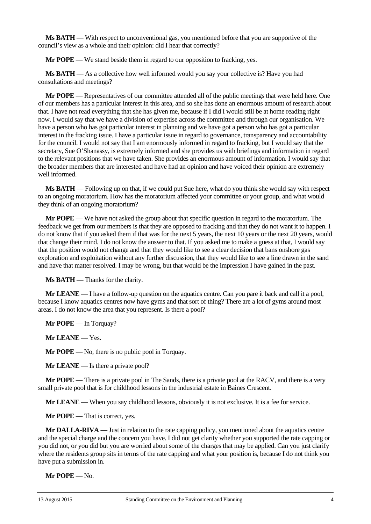**Ms BATH** — With respect to unconventional gas, you mentioned before that you are supportive of the council's view as a whole and their opinion: did I hear that correctly?

**Mr POPE** — We stand beside them in regard to our opposition to fracking, yes.

**Ms BATH** — As a collective how well informed would you say your collective is? Have you had consultations and meetings?

**Mr POPE** — Representatives of our committee attended all of the public meetings that were held here. One of our members has a particular interest in this area, and so she has done an enormous amount of research about that. I have not read everything that she has given me, because if I did I would still be at home reading right now. I would say that we have a division of expertise across the committee and through our organisation. We have a person who has got particular interest in planning and we have got a person who has got a particular interest in the fracking issue. I have a particular issue in regard to governance, transparency and accountability for the council. I would not say that I am enormously informed in regard to fracking, but I would say that the secretary, Sue O'Shanassy, is extremely informed and she provides us with briefings and information in regard to the relevant positions that we have taken. She provides an enormous amount of information. I would say that the broader members that are interested and have had an opinion and have voiced their opinion are extremely well informed.

**Ms BATH** — Following up on that, if we could put Sue here, what do you think she would say with respect to an ongoing moratorium. How has the moratorium affected your committee or your group, and what would they think of an ongoing moratorium?

**Mr POPE** — We have not asked the group about that specific question in regard to the moratorium. The feedback we get from our members is that they are opposed to fracking and that they do not want it to happen. I do not know that if you asked them if that was for the next 5 years, the next 10 years or the next 20 years, would that change their mind. I do not know the answer to that. If you asked me to make a guess at that, I would say that the position would not change and that they would like to see a clear decision that bans onshore gas exploration and exploitation without any further discussion, that they would like to see a line drawn in the sand and have that matter resolved. I may be wrong, but that would be the impression I have gained in the past.

**Ms BATH** — Thanks for the clarity.

**Mr LEANE** — I have a follow-up question on the aquatics centre. Can you pare it back and call it a pool, because I know aquatics centres now have gyms and that sort of thing? There are a lot of gyms around most areas. I do not know the area that you represent. Is there a pool?

**Mr POPE** — In Torquay?

**Mr LEANE** — Yes.

**Mr POPE** — No, there is no public pool in Torquay.

**Mr LEANE** — Is there a private pool?

**Mr POPE** — There is a private pool in The Sands, there is a private pool at the RACV, and there is a very small private pool that is for childhood lessons in the industrial estate in Baines Crescent.

**Mr LEANE** — When you say childhood lessons, obviously it is not exclusive. It is a fee for service.

**Mr POPE** — That is correct, yes.

**Mr DALLA-RIVA** — Just in relation to the rate capping policy, you mentioned about the aquatics centre and the special charge and the concern you have. I did not get clarity whether you supported the rate capping or you did not, or you did but you are worried about some of the charges that may be applied. Can you just clarify where the residents group sits in terms of the rate capping and what your position is, because I do not think you have put a submission in.

**Mr POPE** — No.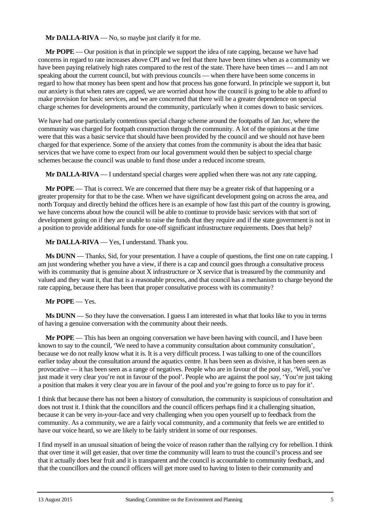**Mr DALLA-RIVA** — No, so maybe just clarify it for me.

**Mr POPE** — Our position is that in principle we support the idea of rate capping, because we have had concerns in regard to rate increases above CPI and we feel that there have been times when as a community we have been paying relatively high rates compared to the rest of the state. There have been times — and I am not speaking about the current council, but with previous councils — when there have been some concerns in regard to how that money has been spent and how that process has gone forward. In principle we support it, but our anxiety is that when rates are capped, we are worried about how the council is going to be able to afford to make provision for basic services, and we are concerned that there will be a greater dependence on special charge schemes for developments around the community, particularly when it comes down to basic services.

We have had one particularly contentious special charge scheme around the footpaths of Jan Juc, where the community was charged for footpath construction through the community. A lot of the opinions at the time were that this was a basic service that should have been provided by the council and we should not have been charged for that experience. Some of the anxiety that comes from the community is about the idea that basic services that we have come to expect from our local government would then be subject to special charge schemes because the council was unable to fund those under a reduced income stream.

**Mr DALLA-RIVA** — I understand special charges were applied when there was not any rate capping.

**Mr POPE** — That is correct. We are concerned that there may be a greater risk of that happening or a greater propensity for that to be the case. When we have significant development going on across the area, and north Torquay and directly behind the offices here is an example of how fast this part of the country is growing, we have concerns about how the council will be able to continue to provide basic services with that sort of development going on if they are unable to raise the funds that they require and if the state government is not in a position to provide additional funds for one-off significant infrastructure requirements. Does that help?

**Mr DALLA-RIVA** — Yes, I understand. Thank you.

**Ms DUNN** — Thanks, Sid, for your presentation. I have a couple of questions, the first one on rate capping. I am just wondering whether you have a view, if there is a cap and council goes through a consultative process with its community that is genuine about X infrastructure or X service that is treasured by the community and valued and they want it, that that is a reasonable process, and that council has a mechanism to charge beyond the rate capping, because there has been that proper consultative process with its community?

#### **Mr POPE** — Yes.

**Ms DUNN** — So they have the conversation. I guess I am interested in what that looks like to you in terms of having a genuine conversation with the community about their needs.

**Mr POPE** — This has been an ongoing conversation we have been having with council, and I have been known to say to the council, 'We need to have a community consultation about community consultation', because we do not really know what it is. It is a very difficult process. I was talking to one of the councillors earlier today about the consultation around the aquatics centre. It has been seen as divisive, it has been seen as provocative — it has been seen as a range of negatives. People who are in favour of the pool say, 'Well, you've just made it very clear you're not in favour of the pool'. People who are against the pool say, 'You're just taking a position that makes it very clear you are in favour of the pool and you're going to force us to pay for it'.

I think that because there has not been a history of consultation, the community is suspicious of consultation and does not trust it. I think that the councillors and the council officers perhaps find it a challenging situation, because it can be very in-your-face and very challenging when you open yourself up to feedback from the community. As a community, we are a fairly vocal community, and a community that feels we are entitled to have our voice heard, so we are likely to be fairly strident in some of our responses.

I find myself in an unusual situation of being the voice of reason rather than the rallying cry for rebellion. I think that over time it will get easier, that over time the community will learn to trust the council's process and see that it actually does bear fruit and it is transparent and the council is accountable to community feedback, and that the councillors and the council officers will get more used to having to listen to their community and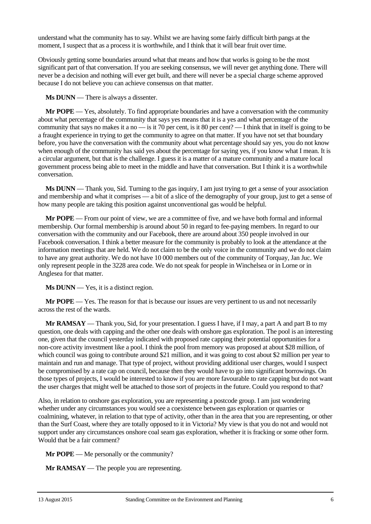understand what the community has to say. Whilst we are having some fairly difficult birth pangs at the moment, I suspect that as a process it is worthwhile, and I think that it will bear fruit over time.

Obviously getting some boundaries around what that means and how that works is going to be the most significant part of that conversation. If you are seeking consensus, we will never get anything done. There will never be a decision and nothing will ever get built, and there will never be a special charge scheme approved because I do not believe you can achieve consensus on that matter.

**Ms DUNN** — There is always a dissenter.

**Mr POPE** — Yes, absolutely. To find appropriate boundaries and have a conversation with the community about what percentage of the community that says yes means that it is a yes and what percentage of the community that says no makes it a no — is it 70 per cent, is it 80 per cent? — I think that in itself is going to be a fraught experience in trying to get the community to agree on that matter. If you have not set that boundary before, you have the conversation with the community about what percentage should say yes, you do not know when enough of the community has said yes about the percentage for saying yes, if you know what I mean. It is a circular argument, but that is the challenge. I guess it is a matter of a mature community and a mature local government process being able to meet in the middle and have that conversation. But I think it is a worthwhile conversation.

**Ms DUNN** — Thank you, Sid. Turning to the gas inquiry, I am just trying to get a sense of your association and membership and what it comprises — a bit of a slice of the demography of your group, just to get a sense of how many people are taking this position against unconventional gas would be helpful.

**Mr POPE** — From our point of view, we are a committee of five, and we have both formal and informal membership. Our formal membership is around about 50 in regard to fee-paying members. In regard to our conversation with the community and our Facebook, there are around about 350 people involved in our Facebook conversation. I think a better measure for the community is probably to look at the attendance at the information meetings that are held. We do not claim to be the only voice in the community and we do not claim to have any great authority. We do not have 10 000 members out of the community of Torquay, Jan Juc. We only represent people in the 3228 area code. We do not speak for people in Winchelsea or in Lorne or in Anglesea for that matter.

**Ms DUNN** — Yes, it is a distinct region.

**Mr POPE** — Yes. The reason for that is because our issues are very pertinent to us and not necessarily across the rest of the wards.

**Mr RAMSAY** — Thank you, Sid, for your presentation. I guess I have, if I may, a part A and part B to my question, one deals with capping and the other one deals with onshore gas exploration. The pool is an interesting one, given that the council yesterday indicated with proposed rate capping their potential opportunities for a non-core activity investment like a pool. I think the pool from memory was proposed at about \$28 million, of which council was going to contribute around \$21 million, and it was going to cost about \$2 million per year to maintain and run and manage. That type of project, without providing additional user charges, would I suspect be compromised by a rate cap on council, because then they would have to go into significant borrowings. On those types of projects, I would be interested to know if you are more favourable to rate capping but do not want the user charges that might well be attached to those sort of projects in the future. Could you respond to that?

Also, in relation to onshore gas exploration, you are representing a postcode group. I am just wondering whether under any circumstances you would see a coexistence between gas exploration or quarries or coalmining, whatever, in relation to that type of activity, other than in the area that you are representing, or other than the Surf Coast, where they are totally opposed to it in Victoria? My view is that you do not and would not support under any circumstances onshore coal seam gas exploration, whether it is fracking or some other form. Would that be a fair comment?

**Mr POPE** — Me personally or the community?

**Mr RAMSAY** — The people you are representing.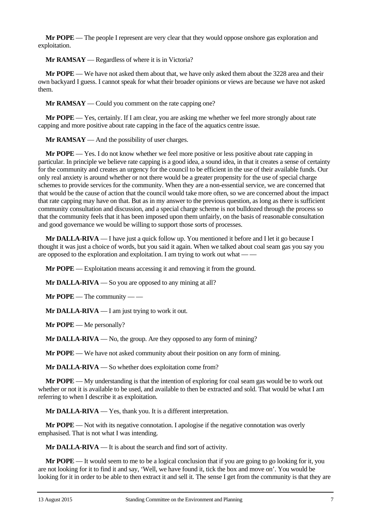**Mr POPE** — The people I represent are very clear that they would oppose onshore gas exploration and exploitation.

**Mr RAMSAY** — Regardless of where it is in Victoria?

**Mr POPE** — We have not asked them about that, we have only asked them about the 3228 area and their own backyard I guess. I cannot speak for what their broader opinions or views are because we have not asked them.

**Mr RAMSAY** — Could you comment on the rate capping one?

**Mr POPE** — Yes, certainly. If I am clear, you are asking me whether we feel more strongly about rate capping and more positive about rate capping in the face of the aquatics centre issue.

**Mr RAMSAY** — And the possibility of user charges.

**Mr POPE** — Yes. I do not know whether we feel more positive or less positive about rate capping in particular. In principle we believe rate capping is a good idea, a sound idea, in that it creates a sense of certainty for the community and creates an urgency for the council to be efficient in the use of their available funds. Our only real anxiety is around whether or not there would be a greater propensity for the use of special charge schemes to provide services for the community. When they are a non-essential service, we are concerned that that would be the cause of action that the council would take more often, so we are concerned about the impact that rate capping may have on that. But as in my answer to the previous question, as long as there is sufficient community consultation and discussion, and a special charge scheme is not bulldozed through the process so that the community feels that it has been imposed upon them unfairly, on the basis of reasonable consultation and good governance we would be willing to support those sorts of processes.

**Mr DALLA-RIVA** — I have just a quick follow up. You mentioned it before and I let it go because I thought it was just a choice of words, but you said it again. When we talked about coal seam gas you say you are opposed to the exploration and exploitation. I am trying to work out what — —

**Mr POPE** — Exploitation means accessing it and removing it from the ground.

**Mr DALLA-RIVA** — So you are opposed to any mining at all?

**Mr POPE** — The community — —

**Mr DALLA-RIVA** — I am just trying to work it out.

**Mr POPE** — Me personally?

**Mr DALLA-RIVA** — No, the group. Are they opposed to any form of mining?

**Mr POPE** — We have not asked community about their position on any form of mining.

**Mr DALLA-RIVA** — So whether does exploitation come from?

**Mr POPE** — My understanding is that the intention of exploring for coal seam gas would be to work out whether or not it is available to be used, and available to then be extracted and sold. That would be what I am referring to when I describe it as exploitation.

**Mr DALLA-RIVA** — Yes, thank you. It is a different interpretation.

**Mr POPE** — Not with its negative connotation. I apologise if the negative connotation was overly emphasised. That is not what I was intending.

**Mr DALLA-RIVA** — It is about the search and find sort of activity.

**Mr POPE** — It would seem to me to be a logical conclusion that if you are going to go looking for it, you are not looking for it to find it and say, 'Well, we have found it, tick the box and move on'. You would be looking for it in order to be able to then extract it and sell it. The sense I get from the community is that they are